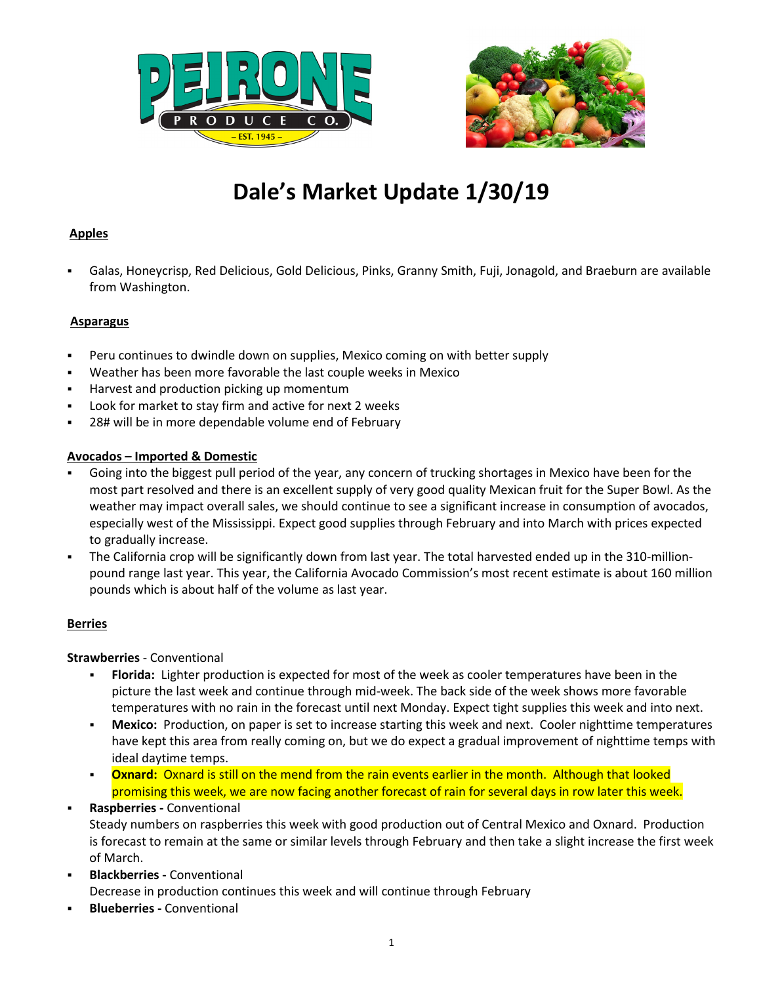



## **Apples**

 Galas, Honeycrisp, Red Delicious, Gold Delicious, Pinks, Granny Smith, Fuji, Jonagold, and Braeburn are available from Washington.

### **Asparagus**

- Peru continues to dwindle down on supplies, Mexico coming on with better supply
- Weather has been more favorable the last couple weeks in Mexico
- Harvest and production picking up momentum
- Look for market to stay firm and active for next 2 weeks
- 28# will be in more dependable volume end of February

### **Avocados – Imported & Domestic**

- Going into the biggest pull period of the year, any concern of trucking shortages in Mexico have been for the most part resolved and there is an excellent supply of very good quality Mexican fruit for the Super Bowl. As the weather may impact overall sales, we should continue to see a significant increase in consumption of avocados, especially west of the Mississippi. Expect good supplies through February and into March with prices expected to gradually increase.
- The California crop will be significantly down from last year. The total harvested ended up in the 310-millionpound range last year. This year, the California Avocado Commission's most recent estimate is about 160 million pounds which is about half of the volume as last year.

### **Berries**

### **Strawberries** - Conventional

- **Florida:** Lighter production is expected for most of the week as cooler temperatures have been in the picture the last week and continue through mid-week. The back side of the week shows more favorable temperatures with no rain in the forecast until next Monday. Expect tight supplies this week and into next.
- **Mexico:** Production, on paper is set to increase starting this week and next. Cooler nighttime temperatures have kept this area from really coming on, but we do expect a gradual improvement of nighttime temps with ideal daytime temps.
- **Oxnard:** Oxnard is still on the mend from the rain events earlier in the month. Although that looked promising this week, we are now facing another forecast of rain for several days in row later this week.
- **Raspberries -** Conventional Steady numbers on raspberries this week with good production out of Central Mexico and Oxnard. Production is forecast to remain at the same or similar levels through February and then take a slight increase the first week of March.
- **Blackberries -** Conventional Decrease in production continues this week and will continue through February
- **Blueberries -** Conventional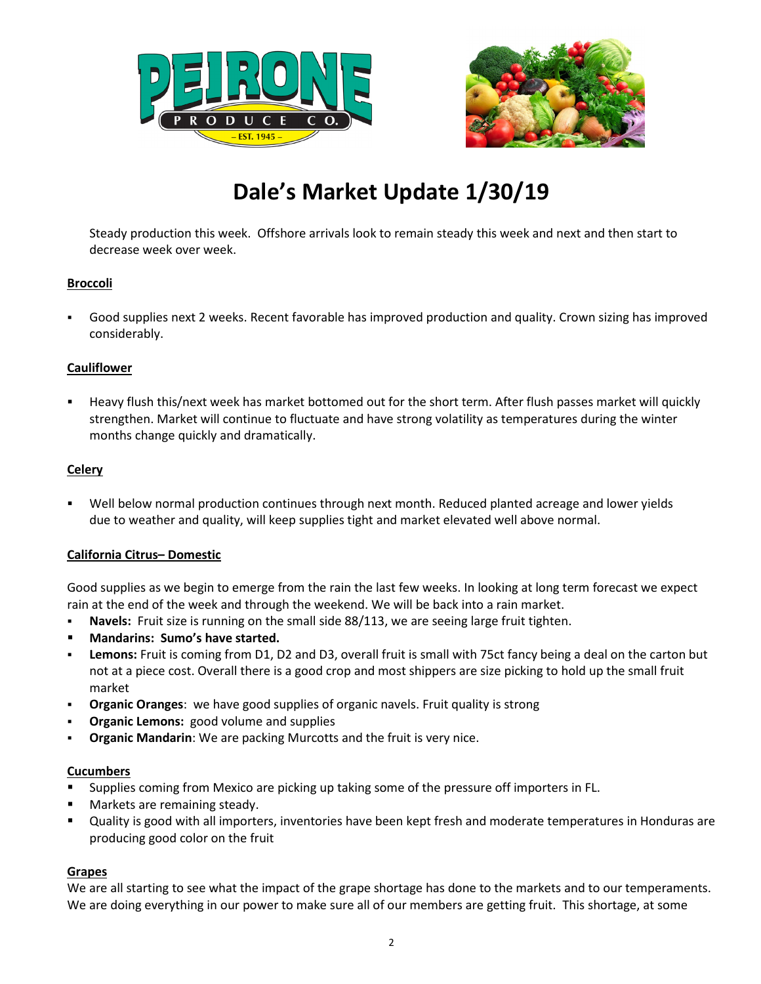



Steady production this week. Offshore arrivals look to remain steady this week and next and then start to decrease week over week.

### **Broccoli**

 Good supplies next 2 weeks. Recent favorable has improved production and quality. Crown sizing has improved considerably.

### **Cauliflower**

 Heavy flush this/next week has market bottomed out for the short term. After flush passes market will quickly strengthen. Market will continue to fluctuate and have strong volatility as temperatures during the winter months change quickly and dramatically.

### **Celery**

 Well below normal production continues through next month. Reduced planted acreage and lower yields due to weather and quality, will keep supplies tight and market elevated well above normal.

### **California Citrus– Domestic**

Good supplies as we begin to emerge from the rain the last few weeks. In looking at long term forecast we expect rain at the end of the week and through the weekend. We will be back into a rain market.

- **Navels:** Fruit size is running on the small side 88/113, we are seeing large fruit tighten.
- **Mandarins: Sumo's have started.**
- **Lemons:** Fruit is coming from D1, D2 and D3, overall fruit is small with 75ct fancy being a deal on the carton but not at a piece cost. Overall there is a good crop and most shippers are size picking to hold up the small fruit market
- **Organic Oranges**: we have good supplies of organic navels. Fruit quality is strong
- **Organic Lemons:** good volume and supplies
- **Organic Mandarin**: We are packing Murcotts and the fruit is very nice.

### **Cucumbers**

- Supplies coming from Mexico are picking up taking some of the pressure off importers in FL.
- Markets are remaining steady.
- Quality is good with all importers, inventories have been kept fresh and moderate temperatures in Honduras are producing good color on the fruit

### **Grapes**

We are all starting to see what the impact of the grape shortage has done to the markets and to our temperaments. We are doing everything in our power to make sure all of our members are getting fruit. This shortage, at some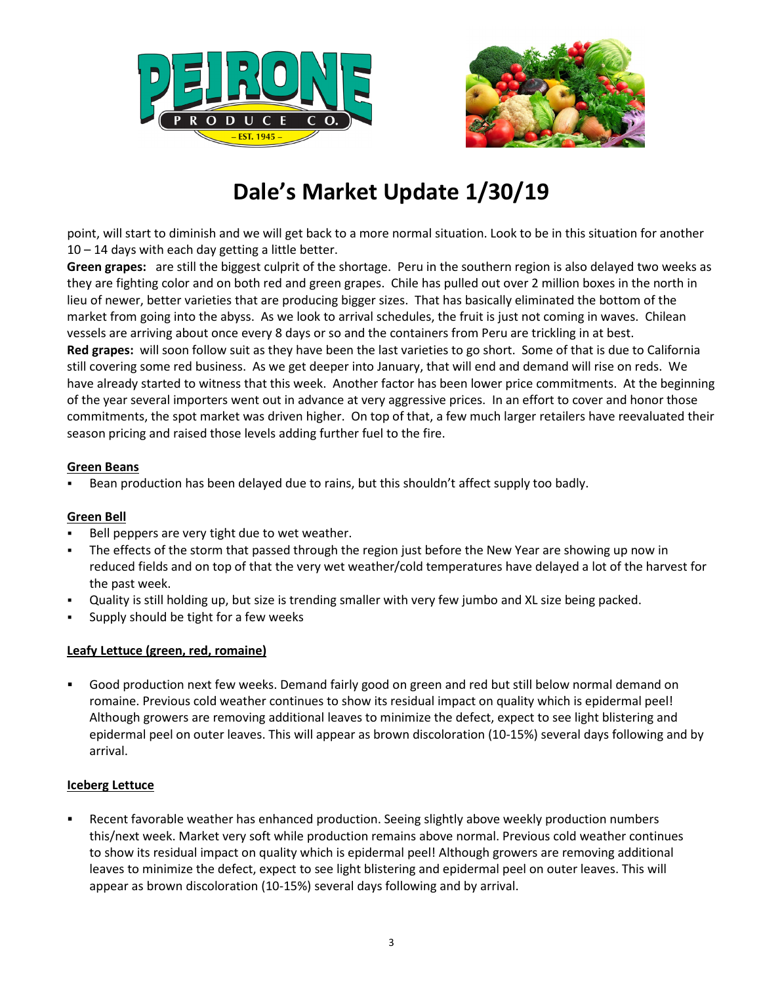



point, will start to diminish and we will get back to a more normal situation. Look to be in this situation for another 10 – 14 days with each day getting a little better.

**Green grapes:** are still the biggest culprit of the shortage. Peru in the southern region is also delayed two weeks as they are fighting color and on both red and green grapes. Chile has pulled out over 2 million boxes in the north in lieu of newer, better varieties that are producing bigger sizes. That has basically eliminated the bottom of the market from going into the abyss. As we look to arrival schedules, the fruit is just not coming in waves. Chilean vessels are arriving about once every 8 days or so and the containers from Peru are trickling in at best. **Red grapes:** will soon follow suit as they have been the last varieties to go short. Some of that is due to California still covering some red business. As we get deeper into January, that will end and demand will rise on reds. We have already started to witness that this week. Another factor has been lower price commitments. At the beginning of the year several importers went out in advance at very aggressive prices. In an effort to cover and honor those commitments, the spot market was driven higher. On top of that, a few much larger retailers have reevaluated their season pricing and raised those levels adding further fuel to the fire.

### **Green Beans**

Bean production has been delayed due to rains, but this shouldn't affect supply too badly.

### **Green Bell**

- Bell peppers are very tight due to wet weather.
- The effects of the storm that passed through the region just before the New Year are showing up now in reduced fields and on top of that the very wet weather/cold temperatures have delayed a lot of the harvest for the past week.
- Quality is still holding up, but size is trending smaller with very few jumbo and XL size being packed.
- Supply should be tight for a few weeks

### **Leafy Lettuce (green, red, romaine)**

 Good production next few weeks. Demand fairly good on green and red but still below normal demand on romaine. Previous cold weather continues to show its residual impact on quality which is epidermal peel! Although growers are removing additional leaves to minimize the defect, expect to see light blistering and epidermal peel on outer leaves. This will appear as brown discoloration (10-15%) several days following and by arrival.

#### **Iceberg Lettuce**

 Recent favorable weather has enhanced production. Seeing slightly above weekly production numbers this/next week. Market very soft while production remains above normal. Previous cold weather continues to show its residual impact on quality which is epidermal peel! Although growers are removing additional leaves to minimize the defect, expect to see light blistering and epidermal peel on outer leaves. This will appear as brown discoloration (10-15%) several days following and by arrival.